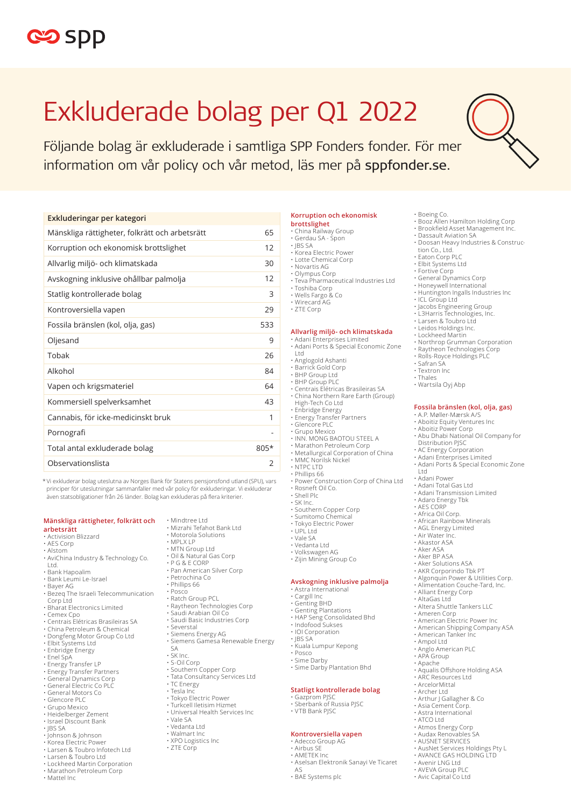

# Exkluderade bolag per Q1 2022

Följande bolag är exkluderade i samtliga SPP Fonders fonder. För mer information om vår policy och vår metod, läs mer på sppfonder.se.

## **Exkluderingar per kategori**

| Mänskliga rättigheter, folkrätt och arbetsrätt | 65     |
|------------------------------------------------|--------|
|                                                |        |
| Korruption och ekonomisk brottslighet          | 12     |
| Allvarlig miljö- och klimatskada               | 30     |
| Avskogning inklusive ohållbar palmolja         | 12     |
| Statlig kontrollerade bolag                    | 3      |
| Kontroversiella vapen                          | 29     |
| Fossila bränslen (kol, olja, gas)              | 533    |
| Oljesand                                       | 9      |
| Tobak                                          | 26     |
| Alkohol                                        | 84     |
| Vapen och krigsmateriel                        | 64     |
| Kommersiell spelverksamhet                     | 43     |
| Cannabis, för icke-medicinskt bruk             | 1      |
| Pornografi                                     |        |
| Total antal exkluderade bolag                  | $805*$ |
| Observationslista                              | 2      |

\* Vi exkluderar bolag uteslutna av Norges Bank för Statens pensjonsfond utland (SPU), vars principer för uteslutningar sammanfaller med vår policy för exkluderingar. Vi exkluderar även statsobligationer från 26 länder. Bolag kan exkluderas på flera kriterier.

#### **Mänskliga rättigheter, folkrätt och arbetsrätt**

- Activision Blizzard
- AES Corp • Alstom
- 
- AviChina Industry & Technology Co. Ltd.
- Bank Hapoalim
- Bank Leumi Le-Israel
- 
- Bayer AG Bezeq The Israeli Telecommunication Corp Ltd • Bharat Electronics Limited
- 
- Cemex Cpo Centrais Elétricas Brasileiras SA
- 
- China Petroleum & Chemical Dongfeng Motor Group Co Ltd
- Elbit Systems Ltd
- Enbridge Energy Enel SpA
- 
- 
- 
- Energy Transfer LP Energy Transfer Partners General Dynamics Corp General Electric Co PLC General Motors Co
- 
- Glencore PLC
- 
- Grupo Mexico Heidelberger Zement
- Israel Discount Bank
- JBS SA
- Johnson & Johnson
- Korea Electric Power Larsen & Toubro Infotech Ltd
- Larsen & Toubro Ltd
- Lockheed Martin Corporation
- Marathon Petroleum Corp
- Mattel Inc
- Mindtree Ltd
- Mizrahi Tefahot Bank Ltd
- Motorola Solutions MPLX LP
- MTN Group Ltd
- Oil & Natural Gas Corp P G & E CORP
- Pan American Silver Corp
- 
- Petrochina Co Phillips 66
- 
- Posco Ratch Group PCL
- Raytheon Technologies Corp
- Saudi Arabian Oil Co • Saudi Basic Industries Corp
- Severstal
- Siemens Energy AG
- Siemens Gamesa Renewable Energy
- SA SK Inc.
- S-Oil Corp
- 
- Southern Copper Corp Tata Consultancy Services Ltd • TC Energy
- 
- Tesla Inc Tokyo Electric Power
- Turkcell Iletisim Hizmet • Universal Health Services Inc
- 
- Vale SA • Vedanta Ltd
- Walmart Inc
- XPO Logistics Inc
- ZTE Corp
- **Korruption och ekonomisk brottslighet** • China Railway Group
- 
- Gerdau SA Spon JBS SA
- Korea Electric Power
- Lotte Chemical Corp • Novartis AG
- 
- Olympus Corp Teva Pharmaceutical Industries Ltd

• Boeing Co. • Booz Allen Hamilton Holding Corp • Brookfield Asset Management Inc.

• Doosan Heavy Industries & Construc-

• Northrop Grumman Corporation • Raytheon Technologies Corp • Rolls-Royce Holdings PLC • Safran SA

**Fossila bränslen (kol, olja, gas)** • A.P. Møller-Mærsk A/S • Aboitiz Equity Ventures Inc • Aboitiz Power Corp • Abu Dhabi National Oil Company for

• Dassault Aviation SA

tion Co., Ltd. • Eaton Corp PLC • Elbit Systems Ltd • Fortive Corp • General Dynamics Corp • Honeywell International • Huntington Ingalls Industries Inc

• ICL Group Ltd • Jacobs Engineering Group • L3Harris Technologies, Inc. • Larsen & Toubro Ltd • Leidos Holdings Inc. • Lockheed Martin

• Textron Inc • Thales • Wartsila Oyj Abp

Distribution PJSC • AC Energy Corporation • Adani Enterprises Limited • Adani Ports & Special Economic Zone

• African Rainbow Minerals • AGL Energy Limited

• Air Water Inc. • Akastor ASA • Aker ASA • Aker BP ASA • Aker Solutions ASA • AKR Corporindo Tbk PT • Algonquin Power & Utilities Corp. • Alimentation Couche-Tard, Inc.

• Alliant Energy Corp • AltaGas Ltd

• American Tanker Inc • Ampol Ltd • Anglo American PLC • APA Group • Apache

• Ameren Corp

• Altera Shuttle Tankers LLC

• American Electric Power Inc • American Shipping Company ASA

• Aqualis Offshore Holding ASA • ARC Resources Ltd • ArcelorMittal • Archer Ltd

• Audax Renovables SA • AUSNET SERVICES • AusNet Services Holdings Pty L • AVANCE GAS HOLDING LTD • Avenir LNG Ltd • AVEVA Group PLC • Avic Capital Co Ltd

• Arthur J Gallagher & Co • Asia Cement Corp. • Astra International • ATCO Ltd • Atmos Energy Corp

Ltd • Adani Power • Adani Total Gas Ltd • Adani Transmission Limited • Adaro Energy Tbk • AES CORP • Africa Oil Corp.

- Toshiba Corp
- Wells Fargo & Co Wirecard AG
- ZTE Corp
- 

# **Allvarlig miljö- och klimatskada** • Adani Enterprises Limited

- Adani Ports & Special Economic Zone Ltd
- Anglogold Ashanti
- Barrick Gold Corp
- BHP Group Ltd
- BHP Group PLC
- Centrais Elétricas Brasileiras SA • China Northern Rare Earth (Group)
- High-Tech Co Ltd • Enbridge Energy
- Energy Transfer Partners
- Glencore PLC
- Grupo Mexico
- INN. MONG BAOTOU STEEL A
- Marathon Petroleum Corp Metallurgical Corporation of China
- 
- MMC Norilsk Nickel NTPC LTD
- Phillips 66
- 
- Power Construction Corp of China Ltd Rosneft Oil Co.
- Shell Plc
- SK Inc.
- 
- Southern Copper Corp Sumitomo Chemical

• Zijin Mining Group Co

• Astra International • Cargill Inc • Genting BHD

• IOI Corporation • JBS SA • Kuala Lumpur Kepong

• Posco • Sime Darby

**Avskogning inklusive palmolja**

• Genting Plantations • HAP Seng Consolidated Bhd • Indofood Sukses

• Sime Darby Plantation Bhd

**Statligt kontrollerade bolag** • Gazprom PJSC • Sberbank of Russia PJSC • VTB Bank PJSC

• Aselsan Elektronik Sanayi Ve Ticaret

**Kontroversiella vapen** • Adecco Group AG • Airbus SE • AMETEK Inc

AS • BAE Systems plc

- Tokyo Electric Power UPL Ltd
- Vale SA
- Vedanta Ltd • Volkswagen AG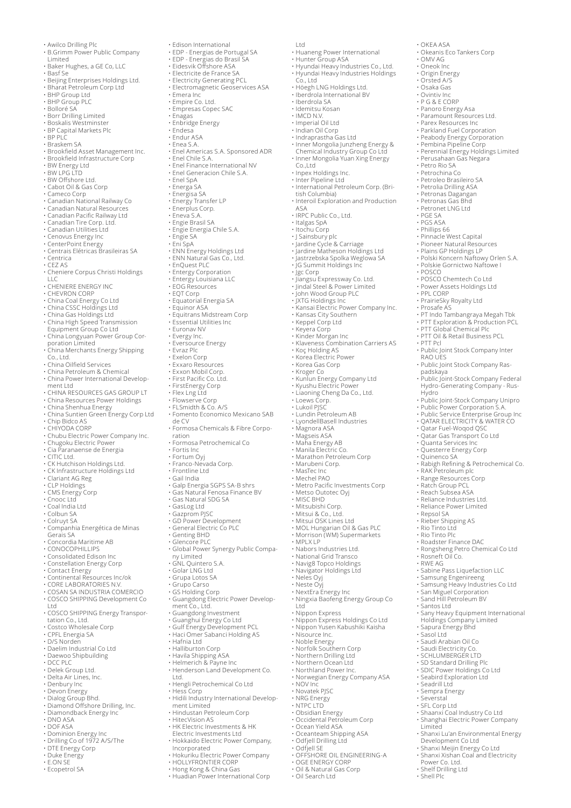- 
- Awilco Drilling Plc B.Grimm Power Public Company Limited
- Baker Hughes, a GE Co, LLC
- Basf Se
- Beijing Enterprises Holdings Ltd. Bharat Petroleum Corp Ltd BHP Group Ltd
- 
- 
- 
- BHP Group PLC Bolloré SA Borr Drilling Limited
- Boskalis Westminster BP Capital Markets Plc
- 
- BP PLC
- Braskem SA Brookfield Asset Management Inc.
- Brookfield Infrastructure Corp
- 
- 
- BW Energy Ltd BW LPG LTD BW Offshore Ltd. Cabot Oil & Gas Corp
- 
- Cameco Corp
- Canadian National Railway Co Canadian Natural Resources Canadian Pacific Railway Ltd
- 
- 
- Canadian Tire Corp. Ltd. Canadian Utilities Ltd
- Cenovus Energy Inc
- 
- CenterPoint Energy Centrais Elétricas Brasileiras SA
- Centrica
- CEZ AS
- Cheniere Corpus Christi Holdings
- LLC CHENIERE ENERGY INC
- 
- 
- 
- 
- 
- CHEVRON CORP<br>• China Coal Energy Co Ltd<br>• China CSSC Holdings Ltd<br>• China Gas Holdings Ltd<br>• China High Speed Transmission<br>• Equipment Group Co Ltd<br>• China Longyuan Power Group Cor-<br>• Ochina Merchants Energy Shipping
- 
- 
- Co., Ltd. China Oilfield Services China Petroleum & Chemical
- China Power International Develop-
- 
- 
- 
- ment Ltd CHINA RESOURCES GAS GROUP LT China Resources Power Holdings China Shenhua Energy China Suntien Green Energy Corp Ltd
- 
- Chip Bidco AS CHIYODA CORP
- 
- Chubu Electric Power Company Inc. Chugoku Electric Power Cia Paranaense de Energia
- 
- 
- CITIC Ltd. CK Hutchison Holdings Ltd.
- CK Infrastructure Holdings Ltd Clariant AG Reg
- 
- CLP Holdings CMS Energy Corp
- 
- Cnooc Ltd Coal India Ltd
- 
- Colbun SA Colruyt SA
- Companhia Energética de Minas
- Gerais SA Concordia Maritime AB
- 
- CONOCOPHILLIPS Consolidated Edison Inc Constellation Energy Corp
- 
- 
- Contact Energy Continental Resources Inc/ok CORE LABORATORIES N.V.
- 
- COSAN SA INDUSTRIA COMERCIO COSCO SHIPPING Development Co
- Ltd
- COSCO SHIPPING Energy Transpor-tation Co., Ltd. Costco Wholesale Corp
- 
- 
- CPFL Energia SA D/S Norden
- 
- Daelim Industrial Co Ltd Daewoo Shipbuilding DCC PLC Delek Group Ltd. Delta Air Lines, Inc.
- 
- 
- 
- 
- 
- 
- Denbury Inc Devon Energy Dialog Group Bhd. Diamond Offshore Drilling, Inc. Diamondback Energy Inc DNO ASA
- 
- 
- 
- DOF ASA Dominion Energy Inc Drilling Co of 1972 A/S/The DTE Energy Corp
- 
- Duke Energy
- E.ON SE
- Ecopetrol SA
- 
- Edison International EDP Energias de Portugal SA EDP Energias do Brasil SA Eidesvik Offshore ASA Electricite de France SA

Ltd

• Huaneng Power International • Hunter Group ASA • Hyundai Heavy Industries Co., Ltd. • Hyundai Heavy Industries Holdings

• OKEA ASA

• OMV AG • Oneok Inc • Origin Energy • Orsted A/S • Osaka Gas • Ovintiv Inc • P G & E CORP

• Okeanis Eco Tankers Corp

• Panoro Energy Asa • Paramount Resources Ltd. • Parex Resources Inc • Parkland Fuel Corporation

• Petro Rio SA • Petrochina Co • Petroleo Brasileiro SA • Petrolia Drilling ASA • Petronas Dagangan • Petronas Gas Bhd • Petronet LNG Ltd • PGE SA • PGS ASA • Phillips 66 • Pinnacle West Capital • Pioneer Natural Resources • Plains GP Holdings LP • Polski Koncern Naftowy Orlen S.A. • Polskie Gornictwo Naftowe I

• POSCO

Hydro

• POSCO Chemtech Co Ltd • Power Assets Holdings Ltd • PPL CORP

• PrairieSky Royalty Ltd • Prosafe AS • PT Indo Tambangraya Megah Tbk • PTT Exploration & Production PCL • PTT Global Chemical Plc

• Public Joint-Stock Company Unipro • Public Power Corporation S.A. • Public Service Enterprise Group Inc • QATAR ELECTRICITY & WATER CO • Qatar Fuel-Woqod QSC

• Quinenco SA • Rabigh Refining & Petrochemical Co. • RAK Petroleum plc

• Rongsheng Petro Chemical Co Ltd • Rosneft Oil Co. • RWE AG • Sabine Pass Liquefaction LLC • Samsung Engenireeng • Samsung Heavy Industries Co Ltd

• Sany Heavy Equipment International Holdings Company Limited • Sapura Energy Bhd

• Shaanxi Coal Industry Co Ltd • Shanghai Electric Power Company Limited • Shanxi Lu'an Environmental Energy

• Shanxi Meijin Energy Co Ltd • Shanxi Xishan Coal and Electricity

Development Co Ltd

Power Co. Ltd. • Shelf Drilling Ltd • Shell Plc

• San Miguel Corporation • Sand Hill Petroleum BV • Santos Ltd

• Sasol Ltd • Saudi Arabian Oil Co • Saudi Electricity Co. • SCHLUMBERGER LTD • SD Standard Drilling Plc • SDIC Power Holdings Co Ltd • Seabird Exploration Ltd

• Seadrill Ltd Sempra Energy • Severstal • SFL Corp Ltd

• Qatar Gas Transport Co Ltd • Quanta Services Inc • Questerre Energy Corp

• Range Resources Corp • Ratch Group PCL • Reach Subsea ASA • Reliance Industries Ltd. • Reliance Power Limited • Repsol SA • Rieber Shipping AS • Rio Tinto Ltd • Rio Tinto Plc • Roadster Finance DAC

• PTT Oil & Retail Business PCL • PTT Pcl • Public Joint Stock Company Inter RAO UES • Public Joint Stock Company Ras-padskaya • Public Joint-Stock Company Federal Hydro-Generating Company - Rus-

• Peabody Energy Corporation • Pembina Pipeline Corp • Perennial Energy Holdings Limited • Perusahaan Gas Negara

• Inner Mongolia Junzheng Energy & Chemical Industry Group Co Ltd • Inner Mongolia Yuan Xing Energy

• Inter Pipeline Ltd • International Petroleum Corp. (Bri-

• Interoil Exploration and Production

• J Sainsbury plc • Jardine Cycle & Carriage • Jardine Matheson Holdings Ltd

• Jastrzebska Spolka Weglowa SA • JG Summit Holdings Inc • Jgc Corp

• JXTG Holdings Inc • Kansai Electric Power Company Inc.

• Keppel Corp Ltd • Keyera Corp • Kinder Morgan Inc • Klaveness Combination Carriers AS

• Jiangsu Expressway Co. Ltd. • Jindal Steel & Power Limited • John Wood Group PLC

• Kansas City Southern

• Koç Holding AS • Korea Electric Power • Korea Gas Corp

• Kroger Co • Kunlun Energy Company Ltd • Kyushu Electric Power • Liaoning Cheng Da Co., Ltd.

• Loews Corp. • Lukoil PJSC • Lundin Petroleum AB • LyondellBasell Industries • Magnora ASA

• Magseis ASA • Maha Energy AB • Manila Electric Co. • Marathon Petroleum Corp • Marubeni Corp.

• Metso Outotec Oyj • MISC BHD • Mitsubishi Corp. • Mitsui & Co., Ltd. • Mitsui OSK Lines Ltd

• MasTec Inc • Mechel PAO • Metro Pacific Investments Corp

• MOL Hungarian Oil & Gas PLC • Morrison (WM) Supermarkets • MPLX LP

• Neles Oyj • Neste Oyj • NextEra Energy Inc • Ningxia Baofeng Energy Group Co

• Nippon Express • Nippon Express Holdings Co Ltd • Nippon Yusen Kabushiki Kaisha

• Noble Energy<br>• Noble Energy<br>• Norfolk Southern Corp<br>• Northern Drilling Ltd<br>• Northland Power Inc.<br>• Norwegian Energy Company ASA

• Obsidian Energy<br>• Occidental Petroleum Corp<br>• Ocean Yield ASA<br>• Oceanteam Shipping ASA<br>• Odfjell Drilling Ltd

• OGE ENERGY CORP • Oil & Natural Gas Corp • Oil Search Ltd

• Odfjell SE • OFFSHORE OIL ENGINEERING-A

• Nabors Industries Ltd. • National Grid Transco • Navig8 Topco Holdings • Navigator Holdings Ltd

Ltd

• NOV Inc • Novatek PJSC • NRG Energy • NTPC LTD

Co., Ltd • Höegh LNG Holdings Ltd. • Iberdrola International BV

• Iberdrola SA • Idemitsu Kosan • IMCD N.V. • Imperial Oil Ltd • Indian Oil Corp • Indraprastha Gas Ltd

Co.,Ltd • Inpex Holdings Inc.

tish Columbia)

• IRPC Public Co., Ltd. • Italgas SpA • Itochu Corp

 $A S A$ 

- 
- 
- Electricity Generating PCL
- Electromagnetic Geoservices ASA Emera Inc Empire Co. Ltd.

• Enea S.A. • Enel Americas S.A. Sponsored ADR

• Enel Finance International NV • Enel Generacion Chile S.A.

- 
- 
- Empresas Copec SAC Enagas Enbridge Energy Endesa
- 

• Enel Chile S.A.

• Energy Transfer LP • Enerplus Corp. • Eneva S.A. • Engie Brasil SA • Engie Energia Chile S.A.

• Eni SpA • ENN Energy Holdings Ltd • ENN Natural Gas Co., Ltd. • EnQuest PLC • Entergy Corporation

• Entergy Louisiana LLC • EOG Resources

• Essential Utilities Inc • Euronav NV • Evergy Inc. • Eversource Energy • Evraz Plc • Exelon Corp • Exxaro Resources • Exxon Mobil Corp. • First Pacific Co. Ltd. • FirstEnergy Corp • Flex Lng Ltd • Flowserve Corp • FLSmidth & Co. A/S

• Equatorial Energia SA • Equinor ASA • Equitrans Midstream Corp

• Fomento Economico Mexicano SAB de CV • Formosa Chemicals & Fibre Corpo-

ration • Formosa Petrochemical Co • Fortis Inc • Fortum Oyj • Franco-Nevada Corp.

• Galp Energia SGPS SA-B shrs • Gas Natural Fenosa Finance BV • Gas Natural SDG SA • GasLog Ltd

• Global Power Synergy Public Compa-

• GS Holding Corp • Guangdong Electric Power Develop-ment Co., Ltd.

• Guangdong Investment • Guanghui Energy Co Ltd • Gulf Energy Development PCL • Haci Omer Sabanci Holding AS • Hafnia Ltd

• Hengli Petrochemical Co Ltd • Hess Corp • Hidili Industry International Develop-

• Hindustan Petroleum Corp • HitecVision AS • HK Electric Investments & HK

Electric Investments Ltd • Hokkaido Electric Power Company,

• Hokuriku Electric Power Company • HOLLYFRONTIER CORP

• Hong Kong & China Gas • Huadian Power International Corp

• Halliburton Corp • Havila Shipping ASA • Helmerich & Payne Inc • Henderson Land Development Co.

• Gazprom PJSC • GD Power Development • General Electric Co PLC • Genting BHD • Glencore PLC

ny Limited • GNL Quintero S.A. • Golar LNG Ltd • Grupa Lotos SA • Grupo Carso

Ltd.

ment Limited

Incorporated

• Frontline Ltd • Gail India

• Enel SpA • Energa SA • Energisa SA

• Engie SA

• EQT Corp

• Endur ASA